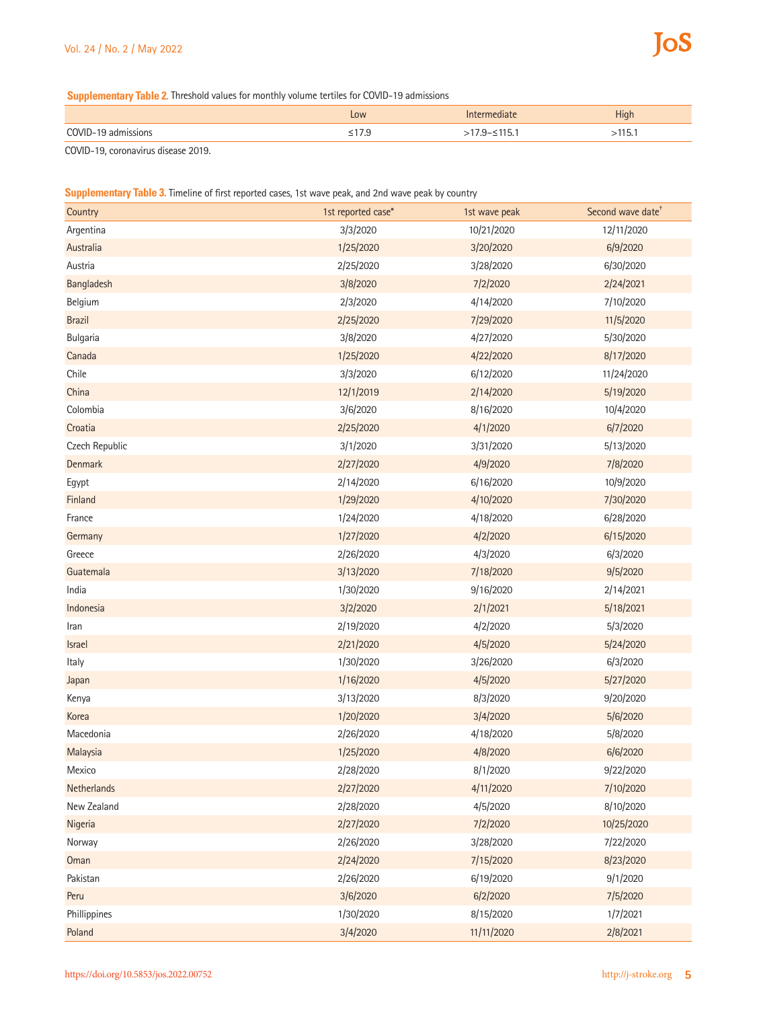**Supplementary Table 2.** Threshold values for monthly volume tertiles for COVID-19 admissions

|     | Low  | <b>High</b> |
|-----|------|-------------|
| OMI | ن. ر | ၪ.          |
| .   |      |             |

COVID-19, coronavirus disease 2019.

## **Supplementary Table 3.** Timeline of first reported cases, 1st wave peak, and 2nd wave peak by country

| Country        | 1st reported case* | 1st wave peak | Second wave date <sup>+</sup> |
|----------------|--------------------|---------------|-------------------------------|
| Argentina      | 3/3/2020           | 10/21/2020    | 12/11/2020                    |
| Australia      | 1/25/2020          | 3/20/2020     | 6/9/2020                      |
| Austria        | 2/25/2020          | 3/28/2020     | 6/30/2020                     |
| Bangladesh     | 3/8/2020           | 7/2/2020      | 2/24/2021                     |
| Belgium        | 2/3/2020           | 4/14/2020     | 7/10/2020                     |
| <b>Brazil</b>  | 2/25/2020          | 7/29/2020     | 11/5/2020                     |
| Bulgaria       | 3/8/2020           | 4/27/2020     | 5/30/2020                     |
| Canada         | 1/25/2020          | 4/22/2020     | 8/17/2020                     |
| Chile          | 3/3/2020           | 6/12/2020     | 11/24/2020                    |
| China          | 12/1/2019          | 2/14/2020     | 5/19/2020                     |
| Colombia       | 3/6/2020           | 8/16/2020     | 10/4/2020                     |
| Croatia        | 2/25/2020          | 4/1/2020      | 6/7/2020                      |
| Czech Republic | 3/1/2020           | 3/31/2020     | 5/13/2020                     |
| Denmark        | 2/27/2020          | 4/9/2020      | 7/8/2020                      |
| Egypt          | 2/14/2020          | 6/16/2020     | 10/9/2020                     |
| Finland        | 1/29/2020          | 4/10/2020     | 7/30/2020                     |
| France         | 1/24/2020          | 4/18/2020     | 6/28/2020                     |
| Germany        | 1/27/2020          | 4/2/2020      | 6/15/2020                     |
| Greece         | 2/26/2020          | 4/3/2020      | 6/3/2020                      |
| Guatemala      | 3/13/2020          | 7/18/2020     | 9/5/2020                      |
| India          | 1/30/2020          | 9/16/2020     | 2/14/2021                     |
| Indonesia      | 3/2/2020           | 2/1/2021      | 5/18/2021                     |
| Iran           | 2/19/2020          | 4/2/2020      | 5/3/2020                      |
| Israel         | 2/21/2020          | 4/5/2020      | 5/24/2020                     |
| Italy          | 1/30/2020          | 3/26/2020     | 6/3/2020                      |
| Japan          | 1/16/2020          | 4/5/2020      | 5/27/2020                     |
| Kenya          | 3/13/2020          | 8/3/2020      | 9/20/2020                     |
| Korea          | 1/20/2020          | 3/4/2020      | 5/6/2020                      |
| Macedonia      | 2/26/2020          | 4/18/2020     | 5/8/2020                      |
| Malaysia       | 1/25/2020          | 4/8/2020      | 6/6/2020                      |
| Mexico         | 2/28/2020          | 8/1/2020      | 9/22/2020                     |
| Netherlands    | 2/27/2020          | 4/11/2020     | 7/10/2020                     |
| New Zealand    | 2/28/2020          | 4/5/2020      | 8/10/2020                     |
| Nigeria        | 2/27/2020          | 7/2/2020      | 10/25/2020                    |
| Norway         | 2/26/2020          | 3/28/2020     | 7/22/2020                     |
| Oman           | 2/24/2020          | 7/15/2020     | 8/23/2020                     |
| Pakistan       | 2/26/2020          | 6/19/2020     | 9/1/2020                      |
| Peru           | 3/6/2020           | 6/2/2020      | 7/5/2020                      |
| Phillippines   | 1/30/2020          | 8/15/2020     | 1/7/2021                      |
| Poland         | 3/4/2020           | 11/11/2020    | 2/8/2021                      |